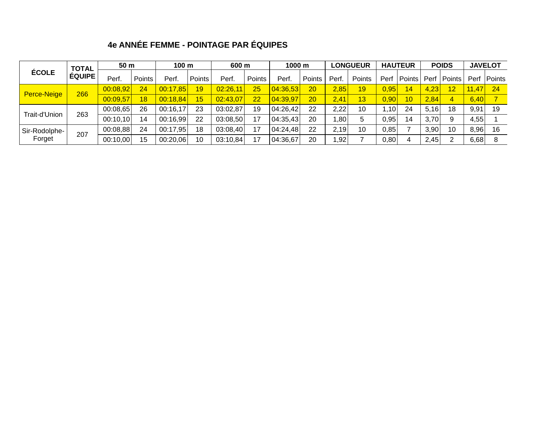## **4e ANNÉE FEMME - POINTAGE PAR ÉQUIPES**

| ÉCOLE                   | <b>TOTAL</b><br><b>ÉQUIPE</b> | 50 <sub>m</sub> |        |          | 100 m  |          | 600 m  |          | 1000 m |        | <b>LONGUEUR</b> |      | <b>HAUTEUR</b> |      | <b>POIDS</b>   |       | <b>JAVELOT</b> |
|-------------------------|-------------------------------|-----------------|--------|----------|--------|----------|--------|----------|--------|--------|-----------------|------|----------------|------|----------------|-------|----------------|
|                         |                               | Perf.           | Points | Perf.    | Points | Perf.    | Points | Perf.    | Points | Perf.  | Points          | Perf | Points         | Perf | Points         |       | Perf   Points  |
| Perce-Neige             | 266                           | 00:08,92        | 24     | 00:17,85 | 19     | 02:26,11 | 25     | 04:36,53 | 20     | 2,85   | 19              | 0,95 | 14             | 4,23 | 12             | 11,47 | $\sqrt{24}$    |
|                         |                               | 00:09,57        | 18     | 00:18,84 | 15     | 02:43,07 | 22     | 04:39.97 | 20     | 2,41   | 13              | 0,90 | 10             | 2,84 | $\overline{4}$ | 6,40  |                |
| Trait-d'Union           | 263                           | 00:08,65        | 26     | 00:16,17 | 23     | 03:02,87 | 19     | 04:26,42 | 22     | 2,22   | 10              | 1,10 | 24             | 5,16 | 18             | 9,91  | -19            |
|                         |                               | 00:10,10        | 14     | 00:16,99 | 22     | 03:08,50 | 17     | 04:35,43 | 20     | ا 80.⊾ | 5               | 0,95 | 14             | 3,70 | 9              | 4,55  |                |
| Sir-Rodolphe-<br>Forget | 207                           | 00:08.88        | 24     | 00:17,95 | 18     | 03:08,40 | 17     | 04:24,48 | 22     | 2.19   | 10              | 0.85 |                | 3,90 | 10             | 8,96  | 16             |
|                         |                               | 00:10,00        | 15     | 00:20,06 | 10     | 03:10,84 | 17     | 04:36,67 | 20     | 1,92   |                 | 0,80 |                | 2,45 | ົ              | 6,68  |                |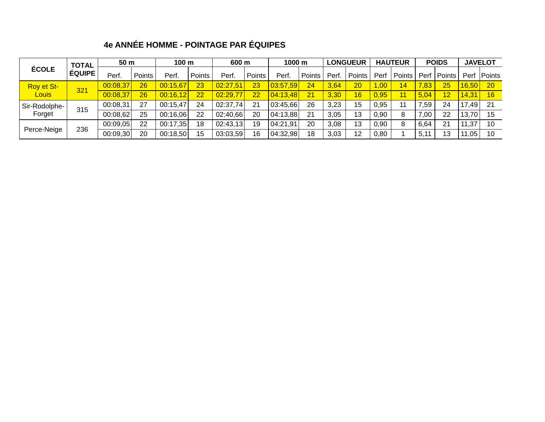# **4e ANNÉE HOMME - POINTAGE PAR ÉQUIPES**

| ÉCOLE         |               | 50 <sub>m</sub><br><b>TOTAL</b> |        | 100 m    |        |          | 600 m  |          | 1000 m |      | <b>LONGUEUR</b> |      | <b>HAUTEUR</b> |      | <b>POIDS</b>  |       | <b>JAVELOT</b> |
|---------------|---------------|---------------------------------|--------|----------|--------|----------|--------|----------|--------|------|-----------------|------|----------------|------|---------------|-------|----------------|
|               | <b>ÉQUIPE</b> | Perf.                           | Points | Perf.    | Points | Perf.    | Points | Perf.    | Points | Perf | Points          | Perf | Points         |      | Perf   Points |       | Perf   Points  |
| Roy et St-    |               | 00:08,37                        | 26     | 00:15,67 | 23     | 02:27.51 | 23     |          | 24     | 3,64 | 20              | 1,00 | 14             | ,83  | 25            | 16,50 | <b>20</b>      |
| <b>Louis</b>  | 321           | 00:08,37                        | 26     | 00:16,12 | 22     | 02:29,77 | 22     | 04:13,48 | 21     | 3,30 | 16              | 0,95 | 11             | 5,04 | 12            | 14,31 | 16             |
| Sir-Rodolphe- |               | 00:08.31                        | 27     | 00:15,47 | 24     | 02:37,74 | 21     | 03:45.66 | 26     | 3,23 | 15              | 0,95 | 11             | .59  | 24            | 17,49 | 21             |
| Forget        | 315           | 00:08,62                        | 25     | 00:16.06 | 22     | 02:40.66 | 20     | 04:13,88 | 21     | 3,05 | 13              | 0,90 | 8              | 7,00 | 22            | 13,70 | 15             |
| Perce-Neige   | 236           | 00:09,05                        | 22     | 00:17,35 | 18     | 02:43,13 | 19     | 04:21,91 | 20     | 3,08 | 13              | 0,90 | 8              | 6,64 | 21            | 11,37 | 10             |
|               |               | 00:09,30                        | 20     | 00:18,50 | 15     | 03:03,59 | 16     | 04:32,98 | 18     | 3,03 | 12              | 0,80 |                | 5,11 | 13            | 11,05 | 10             |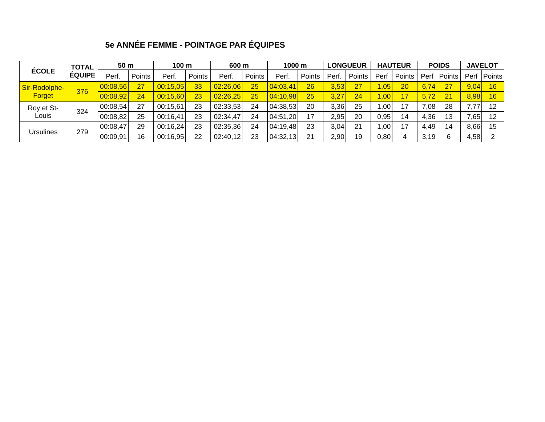## **5e ANNÉE FEMME - POINTAGE PAR ÉQUIPES**

| ÉCOLE                   | <b>TOTAL</b><br><b>ÉQUIPE</b> | 50 <sub>m</sub> |        | 100 <sub>m</sub> |               | 600 m    |        | 1000 <sub>m</sub> |        | <b>LONGUEUR</b> |        | <b>HAUTEUR</b>      |        | <b>POIDS</b> |        | <b>JAVELOT</b> |               |
|-------------------------|-------------------------------|-----------------|--------|------------------|---------------|----------|--------|-------------------|--------|-----------------|--------|---------------------|--------|--------------|--------|----------------|---------------|
|                         |                               | Perf.           | Points | Perf.            | <b>Points</b> | Perf     | Points | Perf.             | Points | Perf            | Points | Perf                | Points | Perf         | Points |                | Perf   Points |
| Sir-Rodolphe-<br>Forget | 376                           | 00:08,56        | 27     | 00:15,05         | 33            | 02:26,06 | 25     | 04:03,41          | 26     | 3,53            | 27     | 1,05                | 20     | 6,74         | 27     | 9,04           | 16            |
|                         |                               | 00:08,92        | 24     | 00:15,60         | 23            | 02:26.25 | 25     | 04:10,98          | 25     | 3,27            | 24     | $4,00^{\circ}$      | 17     | 5,72         | 21     | 8,98           | 16            |
| Roy et St-              | 324                           | 00:08,54        | 27     | 00:15,61         | 23            | 02:33,53 | 24     | 04:38,53          | 20     | 3,36            | 25     | $1,00$ <sup>1</sup> | 17     | .081         | 28     | 7,77           | 12            |
| Louis                   |                               | 00:08,82        | 25     | 00:16,41         | 23            | 02:34,47 | 24     | 04:51,20          | 17     | 2.95            | 20     | 0,95                | 14     | 4,36         | 13     | 7,65           | 12            |
| <b>Ursulines</b>        | 279                           | 00:08,47        | 29     | 00:16,24         | 23            | 02:35,36 | 24     | 04:19,48          | 23     | 3,04            | 21     | 1,00'               | 17     | 4,49         | 14     | 8,66           | 15            |
|                         |                               | 00:09,91        | 16     | 00:16,95         | 22            | 02:40,12 | 23     | 04:32,13          | 21     | 2,90            | 19     | 0,80                |        | 3,19         | 6      | 4,58           |               |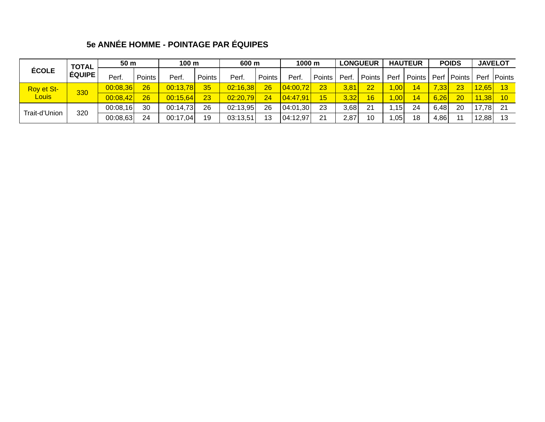# **5e ANNÉE HOMME - POINTAGE PAR ÉQUIPES**

| ÉCOLE                             | <b>TOTAL</b><br><b>ÉQUIPE</b> | 50 <sub>m</sub> |        | 100 m    |        | 600 m    |        | 1000 m         |        | <b>LONGUEUR</b> |        | <b>HAUTEUR</b> |        | <b>POIDS</b> |               | <b>JAVELOT</b> |               |
|-----------------------------------|-------------------------------|-----------------|--------|----------|--------|----------|--------|----------------|--------|-----------------|--------|----------------|--------|--------------|---------------|----------------|---------------|
|                                   |                               | Perf.           | Points | Perf.    | Points | Perf.    | Points | Perf.          | Points | Perf            | Points | Perf           | Points |              | Perf   Points |                | Perf   Points |
| <b>Roy et St-</b><br><b>Louis</b> | 330                           | 00:08,36        | 26     | 00:13,78 | 35     | 02:16,38 | 26     | 04:00,72       | 23     | 3,81            | 22     | .00.           | 14     | 7,33         | 23            | 12,65          | 13            |
|                                   |                               | 00:08,42        | 26     | 00:15,64 | 23     | 02:20.79 | 24     | $\{04:47,91\}$ | 15     | 3,32            | 16     | $\pm,00^+$     | 14     | 6,26         | 20            | 11,38          | 10            |
| Trait-d'Union                     | 320                           | 00:08,16        | 30     | 00:14,73 | 26     | 02:13.95 | 26     | 04:01,30       | 23     | 3,68            | 21     | 1,15           | 24     | 6,48         | 20            | 17,78          | 21            |
|                                   |                               | 00:08,63        | 24     | 00:17.04 | 19     | 03:13,51 | 13     | 04:12,97       | 21     | 2,87            | 10     | 1,05           | 18     | 4,86         | 11            | 12,88          | 13            |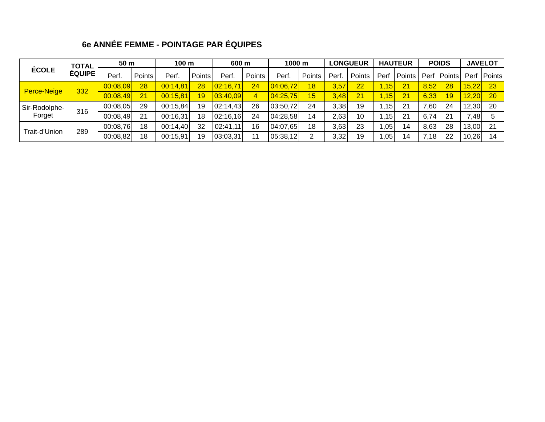## **6e ANNÉE FEMME - POINTAGE PAR ÉQUIPES**

| <b>ÉCOLE</b>  | <b>TOTAL</b><br><b>ÉQUIPE</b> | 50 m     |        |          | 100 m  |          | 600 m  |          | 1000 m |       |        | <b>LONGUEUR</b> |        | <b>HAUTEUR</b> |               | <b>POIDS</b> |               | <b>JAVELOT</b> |
|---------------|-------------------------------|----------|--------|----------|--------|----------|--------|----------|--------|-------|--------|-----------------|--------|----------------|---------------|--------------|---------------|----------------|
|               |                               | Perf     | Points | Perf.    | Points | Perf.    | Points | Perf     | Points | Perf. | Points | Per             | Points |                | Perf   Points |              | Perf   Points |                |
| Perce-Neige   | 332                           | 00:08,09 | 28     | 00:14,81 | 28     | 02:16,71 | 24     | 04:06,72 | 18     | 3,57  | 22     | 1.15            | 21     | 8,52           | 28            | 15,22        | -23           |                |
|               |                               | 00:08,49 | 21     | 00:15.81 | 19     | 03:40.09 | 4      | 04:25,75 | 15     | 3,48  | 21     | 1,15            | 21     | 6,33           | 19            | 12,20        | 20            |                |
| Sir-Rodolphe- |                               | 00:08.05 | 29     | 00:15.84 | 19     | 02:14,43 | 26     | 03:50.72 | 24     | 3,38  | 19     | 1,15            | 21     | ا60.'          | 24            | 12,30        | 20            |                |
| Forget        | 316                           | 00:08,49 | 21     | 00:16.31 | 18     | 02:16.16 | 24     | 04:28,58 | 14     | 2,63  | 10     | 1.15            | 21     | 6,74           | 21            | 7,48         |               |                |
| Trait-d'Union | 289                           | 00:08,76 | 18     | 00:14,40 | 32     | 02:41,11 | 16     | 04:07.65 | 18     | 3,63  | 23     | 1,05            | 14     | 8,63           | 28            | 13,00        | 21            |                |
|               |                               | 00:08,82 | 18     | 00:15,91 | 19     | 03:03,31 | 11     | 05:38,12 | ົ      | 3,32  | 19     | 1,05            | 14     | ,18            | 22            | 10,26        | 14            |                |